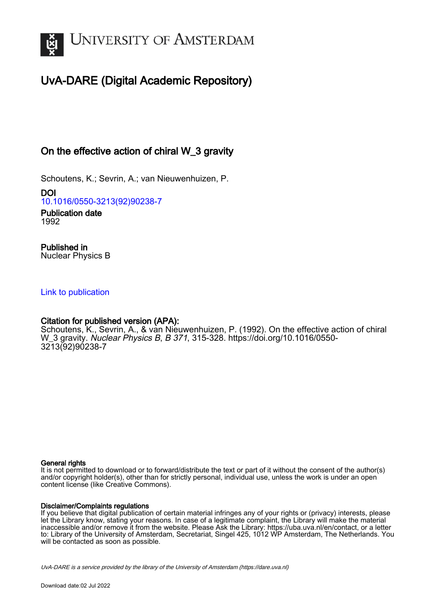

# UvA-DARE (Digital Academic Repository)

## On the effective action of chiral W\_3 gravity

Schoutens, K.; Sevrin, A.; van Nieuwenhuizen, P.

DOI [10.1016/0550-3213\(92\)90238-7](https://doi.org/10.1016/0550-3213(92)90238-7)

Publication date 1992

Published in Nuclear Physics B

#### [Link to publication](https://dare.uva.nl/personal/pure/en/publications/on-the-effective-action-of-chiral-w3-gravity(762fd54e-f2d8-482d-9f16-4f481272c774).html)

## Citation for published version (APA):

Schoutens, K., Sevrin, A., & van Nieuwenhuizen, P. (1992). On the effective action of chiral W\_3 gravity. Nuclear Physics B, B 371, 315-328. [https://doi.org/10.1016/0550-](https://doi.org/10.1016/0550-3213(92)90238-7) [3213\(92\)90238-7](https://doi.org/10.1016/0550-3213(92)90238-7)

#### General rights

It is not permitted to download or to forward/distribute the text or part of it without the consent of the author(s) and/or copyright holder(s), other than for strictly personal, individual use, unless the work is under an open content license (like Creative Commons).

#### Disclaimer/Complaints regulations

If you believe that digital publication of certain material infringes any of your rights or (privacy) interests, please let the Library know, stating your reasons. In case of a legitimate complaint, the Library will make the material inaccessible and/or remove it from the website. Please Ask the Library: https://uba.uva.nl/en/contact, or a letter to: Library of the University of Amsterdam, Secretariat, Singel 425, 1012 WP Amsterdam, The Netherlands. You will be contacted as soon as possible.

UvA-DARE is a service provided by the library of the University of Amsterdam (http*s*://dare.uva.nl)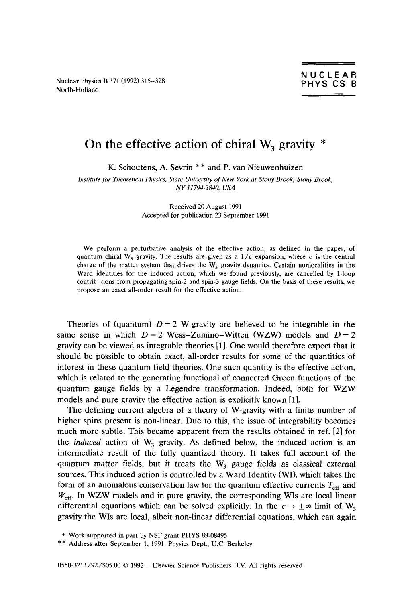Nuclear Physics B 371(1992) 315-328 North-Holland

### On the effective action of chiral  $W_3$  gravity  $*$

K. Schoutens, A. Sevrin \*\* and P. van Nieuwenhuizen

*Institute for Theoretical Physics, State University of New York at Stony Brook, Stony Brook, NY 11794-3840, USA* 

> Received 20 August 1991 Accepted for publication 23 September 1991

We perform a perturbative analysis of the effective action, as defined in the paper, of quantum chiral W<sub>3</sub> gravity. The results are given as a  $1/c$  expansion, where c is the central charge of the matter system that drives the  $W_3$  gravity dynamics. Certain nonlocalities in the Ward identities for the induced action, which we found previously, are cancelled by l-loop contrite dons from propagating spin-2 and spin-3 gauge fields. On the basis of these results, we propose an exact all-order result for the effective action.

Theories of (quantum)  $D = 2$  W-gravity are believed to be integrable in the same sense in which  $D = 2$  Wess-Zumino-Witten (WZW) models and  $D = 2$ gravity can be viewed as integrable theories [ll. One would therefore expect that it should be possible to obtain exact, all-order results for some of the quantities of interest in these quantum field theories. One such quantity is the effective action, which is related to the generating functional of connected Green functions of the quantum gauge fields by a Legendre transformation. Indeed, both for WZW models and pure gravity the effective action is explicitly known [l].

The defining current algebra of a theory of W-gravity with a finite number of higher spins present is non-linear. Due to this, the issue of integrability becomes much more subtle. This became apparent from the results obtained in ref. [2] for the *induced* action of  $W_3$  gravity. As defined below, the induced action is an intermediate result of the fully quantized theory. It takes full account of the quantum matter fields, but it treats the  $W_3$  gauge fields as classical external sources. This induced action is controlled by a Ward Identity (WI), which takes the form of an anomalous conservation law for the quantum effective currents  $T_{\rm eff}$  and  $W_{\text{eff}}$ . In WZW models and in pure gravity, the corresponding WIs are local linear differential equations which can be solved explicitly. In the  $c \to \pm \infty$  limit of W<sub>3</sub> gravity the WIs are local, albeit non-linear differential equations, which can again

<sup>\*</sup> Work supported in part by NSF grant PHYS 89-08495

<sup>\* \*</sup> Address after September 1, 1991: Physics Dept., U.C. Berkeley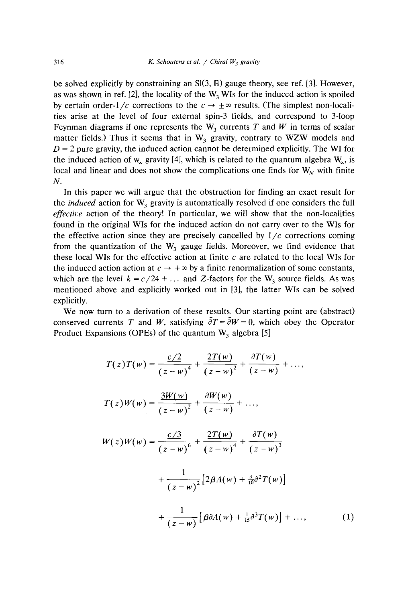be solved explicitly by constraining an  $SI(3, \mathbb{R})$  gauge theory, see ref. [3]. However, as was shown in ref. [2], the locality of the  $W_3$  WIs for the induced action is spoiled by certain order- $1/c$  corrections to the  $c \rightarrow \pm \infty$  results. (The simplest non-localities arise at the level of four external spin-3 fields, and correspond to 3-loop Feynman diagrams if one represents the  $W_3$  currents *T* and *W* in terms of scalar matter fields.) Thus it seems that in  $W_3$  gravity, contrary to WZW models and  $D = 2$  pure gravity, the induced action cannot be determined explicitly. The WI for the induced action of w<sub>x</sub> gravity [4], which is related to the quantum algebra  $W_{\infty}$ , is local and linear and does not show the complications one finds for  $W_N$  with finite *N.*

In this paper we will argue that the obstruction for finding an exact result for the *induced* action for  $W_3$  gravity is automatically resolved if one considers the full *effective* action of the theory! In particular, we will show that the non-localities found in the original WIs for the induced action do not carry over to the WIs for the effective action since they are precisely cancelled by  $1/c$  corrections coming from the quantization of the  $W_3$  gauge fields. Moreover, we find evidence that these local WIs for the effective action at finite *c* are related to the local WIs for the induced action action at  $c \to \pm \infty$  by a finite renormalization of some constants, which are the level  $k = c/24 + ...$  and Z-factors for the W<sub>3</sub> source fields. As was mentioned above and explicitly worked out in [3], the latter WIs can be solved explicitly.

We now turn to a derivation of these results. Our starting point are (abstract) conserved currents *T* and *W*, satisfying  $\overline{\partial}T = \overline{\partial}W = 0$ , which obey the Operator Product Expansions (OPEs) of the quantum W<sub>3</sub> algebra [5]

$$
T(z)T(w) = \frac{c/2}{(z-w)^4} + \frac{2T(w)}{(z-w)^2} + \frac{\partial T(w)}{(z-w)} + \dots,
$$
  
\n
$$
T(z)W(w) = \frac{3W(w)}{(z-w)^2} + \frac{\partial W(w)}{(z-w)} + \dots,
$$
  
\n
$$
W(z)W(w) = \frac{c/3}{(z-w)^6} + \frac{2T(w)}{(z-w)^4} + \frac{\partial T(w)}{(z-w)^3}
$$
  
\n
$$
+ \frac{1}{(z-w)^2} [2\beta A(w) + \frac{3}{10}\partial^2 T(w)]
$$
  
\n
$$
+ \frac{1}{(z-w)} [\beta \partial A(w) + \frac{1}{15}\partial^3 T(w)] + \dots,
$$
  
\n(1)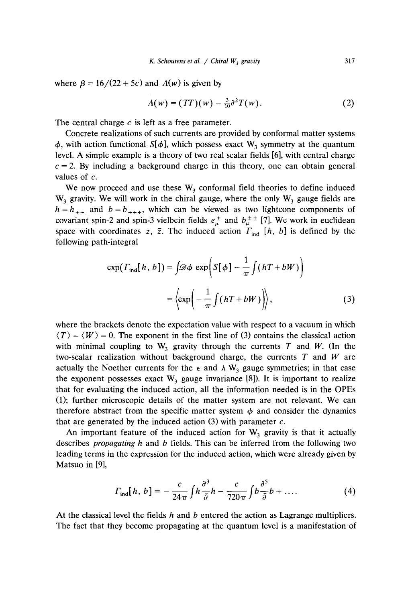where  $\beta = 16/(22 + 5c)$  and  $A(w)$  is given by

$$
\Lambda(w) = (TT)(w) - \frac{3}{10}\partial^2 T(w). \tag{2}
$$

The central charge *c* is left as a free parameter.

Concrete realizations of such currents are provided by conformal matter systems  $\frac{1}{4}$ , with action functional S[ $\frac{1}{4}$ ], which possess exact W  $\frac{3}{3}$  symmetry at the quantum level. A simple example is a theory of two real scalar fields [6], with central charge  $c = 2$ . By including a background charge in this theory, one can obtain general values of *c.*

We now proceed and use these  $W_3$  conformal field theories to define induced  $W_3$  gravity. We will work in the chiral gauge, where the only  $W_3$  gauge fields are  $h = h_{++}$  and  $b = b_{+++}$ , which can be viewed as two lightcone components of covariant spin-2 and spin-3 vielbein fields  $e^{\pm}_{\mu}$  and  $b^{\pm}_{\mu}$  [7]. We work in euclidean space with coordinates z,  $\bar{z}$ . The induced action  $\Gamma_{ind}$  [h, b] is defined by the following path-integral

$$
\exp(\Gamma_{\text{ind}}[h, b]) = \int \mathscr{D}\phi \, \exp\left(S[\phi] - \frac{1}{\pi} \int (hT + bW) \right)
$$

$$
= \left\langle \exp\left(-\frac{1}{\pi} \int (hT + bW) \right) \right\rangle, \tag{3}
$$

where the brackets denote the expectation value with respect to a vacuum in which  $\langle T \rangle = \langle W \rangle = 0$ . The exponent in the first line of (3) contains the classical action with minimal coupling to  $W_3$  gravity through the currents *T* and *W*. (In the two-scalar realization without background charge, the currents *T* and *W* are actually the Noether currents for the  $\epsilon$  and  $\lambda$  W<sub>3</sub> gauge symmetries; in that case the exponent possesses exact  $W_3$  gauge invariance [8]). It is important to realize that for evaluating the induced action, all the information needed is in the OPEs (1); further microscopic details of the matter system are not relevant. We can therefore abstract from the specific matter system  $\phi$  and consider the dynamics that are generated by the induced action (3) with parameter *c.*

An important feature of the induced action for  $W_3$  gravity is that it actually describes *propagating h* and *b* fields. This can be inferred from the following two leading terms in the expression for the induced action, which were already given by Matsuo in [9],

$$
\Gamma_{\rm ind}[h, b] = -\frac{c}{24\pi} \int h \frac{\partial^3}{\partial \bar{\partial}} h - \frac{c}{720\pi} \int b \frac{\partial^5}{\partial \bar{\partial}} b + \dots \tag{4}
$$

At the classical level the fields *h* and *b* entered the action as Lagrange multipliers. The fact that they become propagating at the quantum level is a manifestation of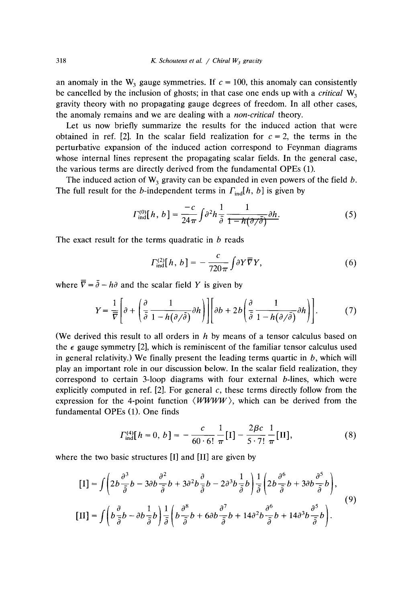an anomaly in the W<sub>3</sub> gauge symmetries. If  $c = 100$ , this anomaly can consistently be cancelled by the inclusion of ghosts; in that case one ends up with a *critical*  $W_3$ gravity theory with no propagating gauge degrees of freedom. In all other cases, the anomaly remains and we are dealing with a *non-critical* theory.

Let us now briefly summarize the results for the induced action that were obtained in ref. [2]. In the scalar field realization for  $c = 2$ , the terms in the perturbative expansion of the induced action correspond to Feynman diagrams whose internal lines represent the propagating scalar fields. In the general case, the various terms are directly derived from the fundamental OPEs (1).

The induced action of  $W_3$  gravity can be expanded in even powers of the field  $b$ . The full result for the *b*-independent terms in  $\Gamma_{\text{ind}}[h, b]$  is given by

$$
\Gamma_{\text{ind}}^{(0)}[h, b] = \frac{-c}{24\pi} \int \partial^2 h \frac{1}{\bar{\partial}} \frac{1}{1 - h(\partial/\bar{\partial})} \partial h. \tag{5}
$$

The exact result for the terms quadratic in *b* reads

$$
\Gamma_{\text{ind}}^{(2)}[h, b] = -\frac{c}{720\pi} \int \partial Y \overline{\nabla} Y,\tag{6}
$$

where  $\overline{\nabla} = \overline{\partial} - h\partial$  and the scalar field *Y* is given by

$$
Y = \frac{1}{\overline{V}} \left[ \partial + \left( \frac{\partial}{\overline{\partial}} \frac{1}{1 - h(\partial/\overline{\partial})} \partial h \right) \right] \left[ \partial b + 2b \left( \frac{\partial}{\overline{\partial}} \frac{1}{1 - h(\partial/\overline{\partial})} \partial h \right) \right].
$$
 (7)

(We derived this result to all orders in *h* by means of a tensor calculus based on the  $\epsilon$  gauge symmetry [2], which is reminiscent of the familiar tensor calculus used in general relativity.) We finally present the leading terms quartic in  $b$ , which will play an important role in our discussion below. In the scalar field realization, they correspond to certain 3-loop diagrams with four external  $b$ -lines, which were explicitly computed in ref. [2]. For general *c*, these terms directly follow from the expression for the 4-point function  $\langle WWW\rangle$ , which can be derived from the fundamental OPEs (1). One finds

$$
\Gamma_{\text{ind}}^{(4)}[h=0, b] = -\frac{c}{60 \cdot 6!} \frac{1}{\pi} [I] - \frac{2\beta c}{5 \cdot 7!} \frac{1}{\pi} [II],
$$
 (8)

where the two basic structures [I] and [II] are given by

$$
\begin{split}\n\left[\mathbf{I}\right] &= \int \left(2b\frac{\partial^3}{\bar{\partial}}b - 3\partial b\frac{\partial^2}{\bar{\partial}}b + 3\partial^2 b\frac{\partial}{\bar{\partial}}b - 2\partial^3 b\frac{1}{\bar{\partial}}b\right) \frac{1}{\bar{\partial}} \left(2b\frac{\partial^6}{\bar{\partial}}b + 3\partial b\frac{\partial^5}{\bar{\partial}}b\right), \\
\left[\mathbf{II}\right] &= \int \left(b\frac{\partial}{\bar{\partial}}b - \partial b\frac{1}{\bar{\partial}}b\right) \frac{1}{\bar{\partial}} \left(b\frac{\partial^8}{\bar{\partial}}b + 6\partial b\frac{\partial^7}{\bar{\partial}}b + 14\partial^2 b\frac{\partial^6}{\bar{\partial}}b + 14\partial^3 b\frac{\partial^5}{\bar{\partial}}b\right).\n\end{split} \tag{9}
$$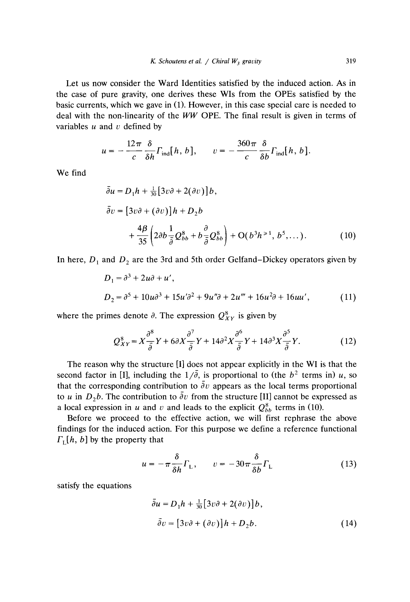Let us now consider the Ward Identities satisfied by the induced action. As in the case of pure gravity, one derives these WIs from the OPEs satisfied by the basic currents, which we gave in (1). However, in this case special care is needed to deal with the non-linearity of the  $WW$  OPE. The final result is given in terms of variables *u* and *v* defined by

$$
u = -\frac{12\pi}{c} \frac{\delta}{\delta h} \Gamma_{\text{ind}}[h, b], \qquad v = -\frac{360\pi}{c} \frac{\delta}{\delta b} \Gamma_{\text{ind}}[h, b].
$$

We find

$$
\bar{\partial}u = D_1 h + \frac{1}{30} [3v \partial + 2(\partial v)] b,
$$
  
\n
$$
\bar{\partial}v = [3v \partial + (\partial v)] h + D_2 b
$$
  
\n
$$
+ \frac{4\beta}{35} \left( 2\partial b \frac{1}{\partial \theta} Q_{bb}^8 + b \frac{\partial}{\partial \theta} Q_{bb}^8 \right) + O(b^3 h^{>1}, b^5, ...).
$$
 (10)

In here,  $D_1$  and  $D_2$  are the 3rd and 5th order Gelfand–Dickey operators given by

$$
D_1 = \partial^3 + 2u\partial + u',
$$
  
\n
$$
D_2 = \partial^5 + 10u\partial^3 + 15u'\partial^2 + 9u''\partial + 2u''' + 16u^2\partial + 16uu',
$$
\n(11)

where the primes denote  $\partial$ . The expression  $Q_{XY}^8$  is given by

$$
Q_{XY}^{8} = X\frac{\partial^{8}}{\partial}Y + 6\partial X\frac{\partial^{7}}{\partial}Y + 14\partial^{2} X\frac{\partial^{6}}{\partial}Y + 14\partial^{3} X\frac{\partial^{5}}{\partial}Y.
$$
 (12)

The reason why the structure [I] does not appear explicitly in the WI is that the second factor in [I], including the  $1/\overline{\partial}$ , is proportional to (the  $b^2$  terms in) *u*, so that the corresponding contribution to  $\overline{\partial}v$  appears as the local terms proportional to *u* in *D 2b.* The contribution to *av* from the structure [II] cannot be expressed as a local expression in *u* and *v* and leads to the explicit  $Q_{bb}^8$  terms in (10).

Before we proceed to the effective action, we will first rephrase the above findings for the induced action. For this purpose we define a reference functional  $F<sub>L</sub>[h, b]$  by the property that

$$
u = -\pi \frac{\delta}{\delta h} \Gamma_{L}, \qquad v = -30\pi \frac{\delta}{\delta b} \Gamma_{L}
$$
 (13)

satisfy the equations

$$
\bar{\partial}u = D_1h + \frac{1}{30}[3v\partial + 2(\partial v)]b,
$$
  

$$
\bar{\partial}v = [3v\partial + (\partial v)]h + D_2b.
$$
 (14)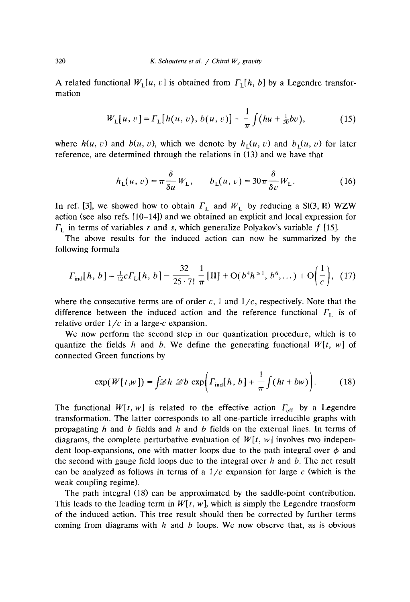A related functional  $W_1[u, v]$  is obtained from  $\Gamma_1[h, b]$  by a Legendre transformation

$$
W_{L}[u, v] = \Gamma_{L}[h(u, v), b(u, v)] + \frac{1}{\pi} \int (hu + \frac{1}{30}bv), \qquad (15)
$$

where  $h(u, v)$  and  $b(u, v)$ , which we denote by  $h_1(u, v)$  and  $b_1(u, v)$  for later reference, are determined through the relations in (13) and we have that

$$
h_{\mathcal{L}}(u,v) = \pi \frac{\delta}{\delta u} W_{\mathcal{L}}, \qquad b_{\mathcal{L}}(u,v) = 30\pi \frac{\delta}{\delta v} W_{\mathcal{L}}.
$$
 (16)

In ref. [3], we showed how to obtain  $\Gamma_L$  and  $W_L$  by reducing a SI(3, R) WZW action (see also refs. [10–14]) and we obtained an explicit and local expression for  $\Gamma$ , in terms of variables  $r$  and  $s$ , which generalize Polyakov's variable  $f$  [15].

 $\Gamma_{\rm L}$  in terms of variables r and s, which generalize Polyakov's variable f [15].<br>The above results for the induced action can now be summarized by the following formula

$$
\Gamma_{\text{ind}}[h, b] = \frac{1}{12} c \Gamma_{\text{L}}[h, b] - \frac{32}{25 \cdot 7!} \frac{1}{\pi} [\text{II}] + \text{O}(b^4 h^{\ge 1}, b^6, \dots) + \text{O}\left(\frac{1}{c}\right), (17)
$$

where the consecutive terms are of order  $c$ , 1 and  $1/c$ , respectively. Note that the difference between the induced action and the reference functional  $\Gamma_1$  is of relative order  $1/c$  in a large-c expansion.

We now perform the second step in our quantization procedure, which is to quantize the fields *h* and *b*. We define the generating functional  $W[t, w]$  of connected Green functions by

$$
\exp(W[t, w]) = \int \mathcal{D}h \ \mathcal{D}b \ \exp\left(\Gamma_{\text{ind}}[h, b] + \frac{1}{\pi} \int (ht + bw)\right). \tag{18}
$$

The functional  $W[t, w]$  is related to the effective action  $\Gamma_{\text{eff}}$  by a Legendre transformation. The latter corresponds to all one-particle irreducible graphs with propagating *h* and *b* fields and *h* and *b* fields on the external lines. In terms of diagrams, the complete perturbative evaluation of  $W[t, w]$  involves two independent loop-expansions, one with matter loops due to the path integral over  $\phi$  and the second with gauge field loops due to the integral over *h* and b. The net result can be analyzed as follows in terms of a  $1/c$  expansion for large  $c$  (which is the weak coupling regime).

The path integral (18) can be approximated by the saddle-point contribution. This leads to the leading term in  $W[t, w]$ , which is simply the Legendre transform of the induced action. This tree result should then be corrected by further terms coming from diagrams with *h* and *b* loops. We now observe that, as is obvious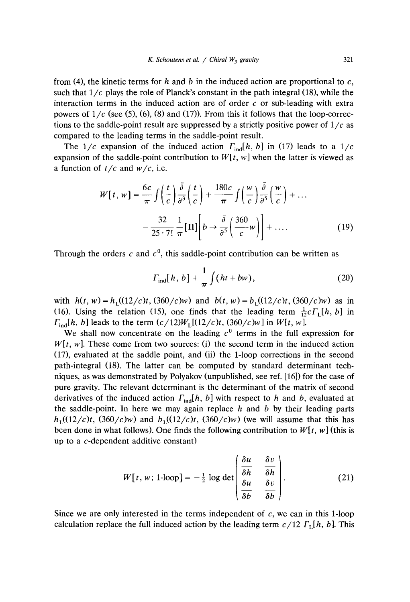from (4), the kinetic terms for *h* and *b* in the induced action are proportional to *c,* such that  $1/c$  plays the role of Planck's constant in the path integral (18), while the interaction terms in the induced action are of order *c* or sub-leading with extra powers of  $1/c$  (see (5), (6), (8) and (17)). From this it follows that the loop-corrections to the saddle-point result are suppressed by a strictly positive power of  $1/c$  as compared to the leading terms in the saddle-point result.

The  $1/c$  expansion of the induced action  $\Gamma_{ind}[h, b]$  in (17) leads to a  $1/c$ expansion of the saddle-point contribution to  $W[t, w]$  when the latter is viewed as a function of t/c and *w/c,* i.e.

$$
W[t, w] = \frac{6c}{\pi} \int \left(\frac{t}{c}\right) \frac{\bar{\partial}}{\partial s} \left(\frac{t}{c}\right) + \frac{180c}{\pi} \int \left(\frac{w}{c}\right) \frac{\bar{\partial}}{\partial s} \left(\frac{w}{c}\right) + \dots
$$

$$
- \frac{32}{25 \cdot 7!} \frac{1}{\pi} [\text{II}] \left[b \rightarrow \frac{\bar{\partial}}{\partial s} \left(\frac{360}{c}w\right)\right] + \dots \tag{19}
$$

Through the orders  $c$  and  $c<sup>0</sup>$ , this saddle-point contribution can be written as

$$
\Gamma_{\text{ind}}[h, b] + \frac{1}{\pi} \int (ht + bw), \qquad (20)
$$

with  $h(t, w) = h_1((12/c)t, (360/c)w)$  and  $b(t, w) = b_1((12/c)t, (360/c)w)$  as in (16). Using the relation (15), one finds that the leading term  $\frac{1}{12}c\Gamma_1[h, b]$  in  $\Gamma_{\text{ind}}[h, b]$  leads to the term  $(c/12)W_L[(12/c)t, (360/c)w]$  in  $W[t, w]$ .

We shall now concentrate on the leading  $c<sup>0</sup>$  terms in the full expression for  $W[t, w]$ . These come from two sources: (i) the second term in the induced action (17), evaluated at the saddle point, and (ii) the i-loop corrections in the second path-integral (18). The latter can be computed by standard determinant techniques, as was demonstrated by Polyakov (unpublished, see ref. [16]) for the case of pure gravity. The relevant determinant is the determinant of the matrix of second derivatives of the induced action  $\Gamma_{\text{ind}}[h, b]$  with respect to *h* and *b*, evaluated at the saddle-point. In here we may again replace *h* and *b* by their leading parts  $h_1((12/c)t, (360/c)w)$  and  $b_1((12/c)t, (360/c)w)$  (we will assume that this has been done in what follows). One finds the following contribution to  $W[t, w]$  (this is up to a c-dependent additive constant)

$$
W[t, w; 1\text{-loop}] = -\frac{1}{2} \log \det \begin{pmatrix} \frac{\delta u}{\delta h} & \frac{\delta v}{\delta h} \\ \frac{\delta u}{\delta b} & \frac{\delta v}{\delta b} \end{pmatrix}.
$$
 (21)

Since we are only interested in the terms independent of  $c$ , we can in this 1-loop calculation replace the full induced action by the leading term  $c/12 \Gamma_{\rm L}[\hat{h}, b]$ . This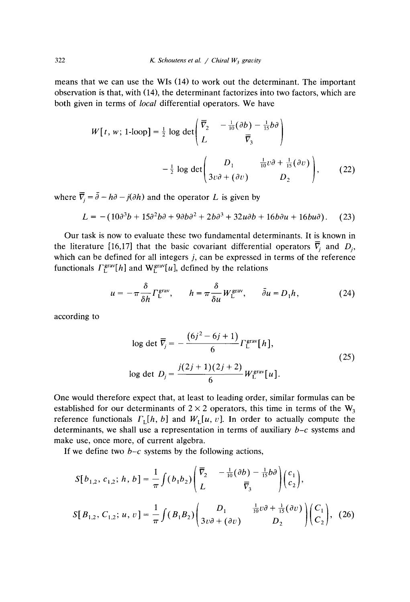means that we can use the WIs (14) to work out the determinant. The important observation is that, with (14), the determinant factorizes into two factors, which are both given in terms of *local* differential operators. We have

$$
W[t, w; 1\text{-loop}] = \frac{1}{2} \log \det \begin{pmatrix} \overline{v}_2 & -\frac{1}{10}(\partial b) - \frac{1}{15}b\partial \\ L & \overline{v}_3 \end{pmatrix}
$$
\n
$$
-\frac{1}{2} \log \det \begin{pmatrix} D_1 & \frac{1}{10}v\partial + \frac{1}{15}(\partial v) \\ 3v\partial + (\partial v) & D_2 \end{pmatrix}, \tag{22}
$$

where  $\overline{\overline{V}}_j = \overline{\partial} - h\partial - j(\partial h)$  and the operator *L* is given by

$$
L = -(10\partial^3 b + 15\partial^2 b\partial + 9\partial b\partial^2 + 2b\partial^3 + 32u\partial b + 16b\partial u + 16bu\partial). \tag{23}
$$

Our task is now to evaluate these two fundamental determinants. It is known in the literature [16,17] that the basic covariant differential operators  $\overline{V}_i$  and  $D_i$ , which can be defined for all integers *j,* can be expressed in terms of the reference functionals *F*  $L^{m}[n]$  and  $W_L^{m}[u]$ , defined by the relations

$$
u = -\pi \frac{\delta}{\delta h} \Gamma_{L}^{\text{grav}}, \qquad h = \pi \frac{\delta}{\delta u} W_{L}^{\text{grav}}, \qquad \bar{\partial} u = D_1 h, \tag{24}
$$

according to

log det 
$$
\overline{V}_j = -\frac{(6j^2 - 6j + 1)}{6} \Gamma_L^{\text{grav}}[h],
$$
  
log det  $D_j = \frac{j(2j + 1)(2j + 2)}{6} W_L^{\text{grav}}[u].$  (25)

One would therefore expect that, at least to leading order, similar formulas can be established for our determinants of  $2 \times 2$  operators, this time in terms of the  $W_3$ reference functionals  $\Gamma_{\text{L}}[h, b]$  and  $W_{\text{L}}[u, v]$ . In order to actually compute the determinants, we shall use a representation in terms of auxiliary  $b-c$  systems and make use, once more, of current algebra.

If we define two  $b-c$  systems by the following actions,

$$
S[b_{1,2}, c_{1,2}; h, b] = \frac{1}{\pi} \int (b_1 b_2) \begin{pmatrix} \overline{v}_2 & -\frac{1}{10} (\partial b) - \frac{1}{15} b \partial \\ L & \overline{v}_3 \end{pmatrix} \begin{pmatrix} c_1 \\ c_2 \end{pmatrix},
$$
  

$$
S[B_{1,2}, C_{1,2}; u, v] = \frac{1}{\pi} \int (B_1 B_2) \begin{pmatrix} D_1 & \frac{1}{10} v \partial + \frac{1}{15} (\partial v) \\ 3v \partial + (\partial v) & D_2 \end{pmatrix} \begin{pmatrix} C_1 \\ C_2 \end{pmatrix}, (26)
$$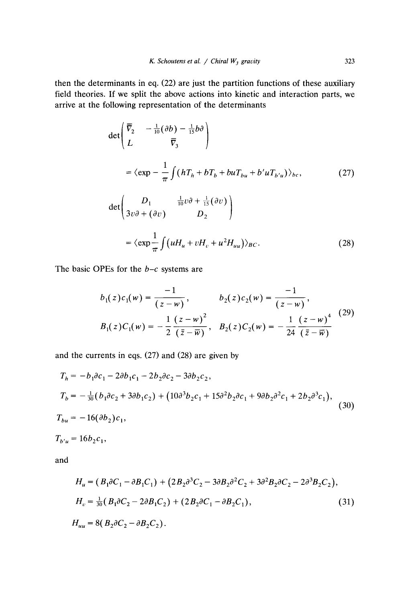then the determinants in eq. (22) are just the partition functions of these auxiliary field theories. If we split the above actions into kinetic and interaction parts, we arrive at the following representation of the determinants

$$
\det\begin{pmatrix} \overline{v}_2 & -\frac{1}{10}(\partial b) - \frac{1}{15}b\partial \\ L & \overline{v}_3 \end{pmatrix}
$$
\n
$$
= \langle \exp -\frac{1}{\pi} \int (hT_h + bT_b + buT_{bu} + b'uT_{b'u}) \rangle_{bc}, \tag{27}
$$
\n
$$
\det\begin{pmatrix} D_1 & \frac{1}{10}v\partial + \frac{1}{15}(\partial v) \\ 3v\partial + (\partial v) & D_2 \end{pmatrix}
$$
\n
$$
= \langle \exp \frac{1}{\pi} \int (uH_u + vH_v + u^2 H_{uu}) \rangle_{BC}. \tag{28}
$$

The basic OPEs for the  $b-c$  systems are

$$
b_1(z)c_1(w) = \frac{-1}{(z-w)}, \qquad b_2(z)c_2(w) = \frac{-1}{(z-w)},
$$
  
\n
$$
B_1(z)C_1(w) = -\frac{1}{2}\frac{(z-w)^2}{(\overline{z}-\overline{w})}, \quad B_2(z)C_2(w) = -\frac{1}{24}\frac{(z-w)^4}{(\overline{z}-\overline{w})}
$$
 (29)

and the currents in eqs. (27) and (28) are given by

$$
T_h = -b_1 \partial c_1 - 2 \partial b_1 c_1 - 2 b_2 \partial c_2 - 3 \partial b_2 c_2,
$$
  
\n
$$
T_b = -\frac{1}{30} (b_1 \partial c_2 + 3 \partial b_1 c_2) + (10 \partial^3 b_2 c_1 + 15 \partial^2 b_2 \partial c_1 + 9 \partial b_2 \partial^2 c_1 + 2 b_2 \partial^3 c_1),
$$
  
\n
$$
T_{bu} = -16 (\partial b_2) c_1,
$$
  
\n
$$
T_{b'u} = 16 b_2 c_1,
$$
  
\nand

$$
H_u = (B_1 \partial C_1 - \partial B_1 C_1) + (2B_2 \partial^3 C_2 - 3\partial B_2 \partial^2 C_2 + 3\partial^2 B_2 \partial C_2 - 2\partial^3 B_2 C_2),
$$
  
\n
$$
H_v = \frac{1}{30} (B_1 \partial C_2 - 2\partial B_1 C_2) + (2B_2 \partial C_1 - \partial B_2 C_1),
$$
  
\n
$$
H_{uu} = 8 (B_2 \partial C_2 - \partial B_2 C_2).
$$
\n(31)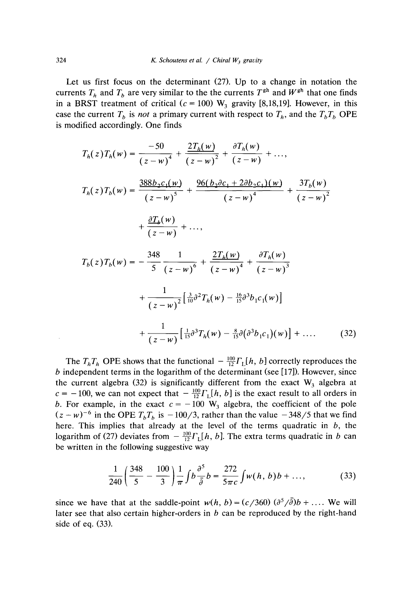Let us first focus on the determinant (27). Up to a change in notation the currents  $T_b$  and  $T_b$  are very similar to the the currents  $T^{gh}$  and  $W^{gh}$  that one finds in a BRST treatment of critical ( $c = 100$ ) W<sub>3</sub> gravity [8,18,19]. However, in this case the current  $T_b$  is *not* a primary current with respect to  $T_b$ , and the  $T_bT_b$  OPE is modified accordingly. One finds

$$
T_h(z)T_h(w) = \frac{-50}{(z-w)^4} + \frac{2T_h(w)}{(z-w)^2} + \frac{\partial T_h(w)}{(z-w)} + \dots,
$$
  
\n
$$
T_h(z)T_h(w) = \frac{388b_2c_1(w)}{(z-w)^5} + \frac{96(b_2\partial c_1 + 2\partial b_2c_1)(w)}{(z-w)^4} + \frac{3T_h(w)}{(z-w)^2} + \frac{\partial T_h(w)}{(z-w)} + \dots,
$$
  
\n
$$
T_b(z)T_b(w) = -\frac{348}{5}\frac{1}{(z-w)^6} + \frac{2T_h(w)}{(z-w)^4} + \frac{\partial T_h(w)}{(z-w)^3} + \frac{1}{(z-w)^2} \left[\frac{3}{10}\partial^2 T_h(w) - \frac{16}{15}\partial^3 b_1 c_1(w)\right] + \frac{1}{(z-w)} \left[\frac{1}{15}\partial^3 T_h(w) - \frac{8}{15}\partial (\partial^3 b_1 c_1)(w)\right] + \dots
$$

The  $T_hT_h$  OPE shows that the functional  $-\frac{100}{12}\Gamma_h[h, b]$  correctly reproduces the b independent terms in the logarithm of the determinant (see [17]). However, since the current algebra (32) is significantly different from the exact  $W_3$  algebra at the current algebra (32) is significantly different from the exact  $W_3$  algebra at  $c = -100$ , we can not expect that  $-\frac{12}{12}L_1h$ , *b*] is the exact result to all orders in *b*. For example, in the exact  $c = -100 \text{ W}_3$  algebra, the coefficient of the pole *(z* **—** *wY*  $^{6}$  in the OPE *T* T<sub>bs</sub>  $^{6}$  is  $-100/3$ , rather than the value  $-348/5$  that we find here. This implies that already at the level of the terms quadratic in  $b$ , the logarithm of (27) deviates from  $-\frac{100}{12}\Gamma_{\rm L}[h, b]$ . The extra terms quadratic in b can be written in the following suggestive way

$$
\frac{1}{240} \left( \frac{348}{5} - \frac{100}{3} \right) \frac{1}{\pi} \int b \frac{\partial^5}{\partial \theta^5} b = \frac{272}{5 \pi c} \int w(h, b) b + \dots,
$$
 (33)

 $D_1C_1$  $(m)$ ] + .... (32)

since we have that at the saddle-point  $w(h, b) = (c/360) (\partial^5/\overline{\partial})b + ...$  We will later see that also certain higher-orders in *b* can be reproduced by the right-hand side of eq. (33).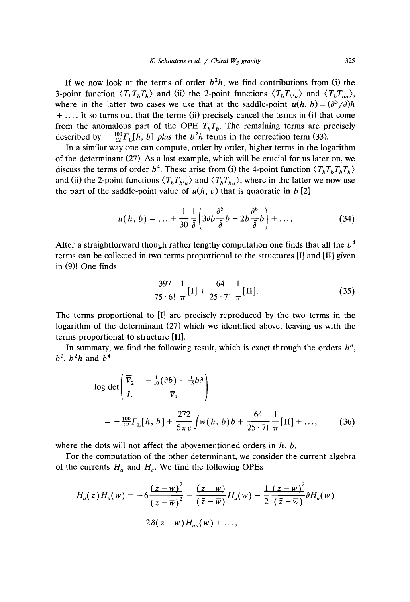If we now look at the terms of order b *2h,* we find contributions from (i) the 3-point function *(TTT)* and (ii) the 2-point functions *(TT*)  $b'u/$  and  $\frac{1}{b}I_{bu}/$ , where in the latter two cases we use that at the saddle-point  $u(n, b) = (a, b)$ *3/a)h* + **....** It so turns out that the terms (ii) precisely cancel the terms in (i) that come from the anomalous part of the OPE  $T<sub>h</sub>T<sub>b</sub>$ . The remaining terms are precisely described by  $-\frac{100}{12}\Gamma_{\rm L}[h, b]$  *plus* the *b*<sup>2</sup>*h* terms in the correction term (33).

In a similar way one can compute, order by order, higher terms in the logarithm of the determinant (27). As a last example, which will be crucial for uslater on, we discuss the terms of order  $b^4$ . These arise from (i) the 4-point function  $\langle T_b T_b T_b T_b \rangle$ *6T6T6T6)* and (ii) the 2-point functions  $\langle T_b T_{b'u} \rangle$  and  $\langle T_b T_{bu} \rangle$ , where in the latter we now use the part of the saddle-point value of  $u(h, v)$  that is quadratic in *b* [2]

$$
u(h, b) = \dots + \frac{1}{30} \frac{1}{\overline{\theta}} \left( 3 \partial b \frac{\partial^5}{\overline{\theta}} b + 2 b \frac{\partial^6}{\overline{\theta}} b \right) + \dots
$$
 (34)

After a straightforward though rather lengthy computation one finds that all the *b4* terms can be collected in two terms proportional to the structures [I] and [II] given in (9)! One finds

$$
\frac{397}{75 \cdot 6!} \frac{1}{\pi} [I] + \frac{64}{25 \cdot 7!} \frac{1}{\pi} [II].
$$
 (35)

The terms proportional to [I] are precisely reproduced by the two terms in the logarithm of the determinant (27) which we identified above, leaving us with the terms proportional to structure [II].

In summary, we find the following result, which is exact through the orders  $h^n$ ,  $b^2$ ,  $b^2h$  and  $b^4$ 

$$
\log \det \left( \frac{\overline{V}_2}{L} - \frac{1}{10} (\partial b) - \frac{1}{15} b \partial \right)
$$
  
=  $-\frac{100}{12} \Gamma_L[h, b] + \frac{272}{5\pi c} \int w(h, b) b + \frac{64}{25 \cdot 7!} \frac{1}{\pi} [II] + ...,$  (36)

where the dots will not affect the abovementioned orders in *h, b.*

For the computation of the other determinant, we consider the current algebra of the currents  $H_u$  and  $H_v$ . We find the following OPEs

$$
H_u(z)H_u(w) = -6\frac{(z-w)^2}{(\bar{z}-\bar{w})^2} - \frac{(z-w)}{(\bar{z}-\bar{w})}H_u(w) - \frac{1}{2}\frac{(z-w)^2}{(\bar{z}-\bar{w})}\partial H_u(w) - 2\delta(z-w)H_{uu}(w) + ...,
$$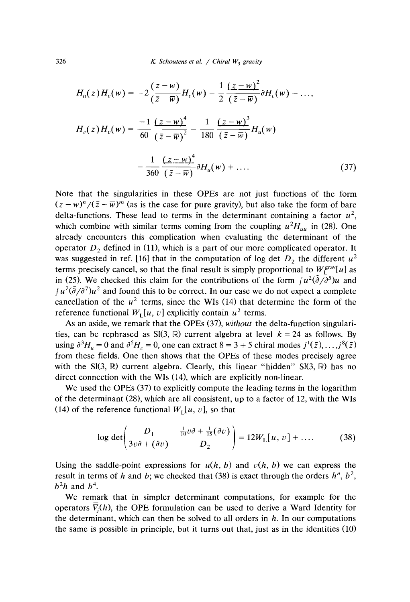$$
H_u(z)H_v(w) = -2\frac{(z-w)}{(\bar{z}-\bar{w})}H_v(w) - \frac{1}{2}\frac{(\bar{z}-w)^2}{(\bar{z}-\bar{w})}\partial H_v(w) + ...,
$$
  

$$
H_v(z)H_v(w) = \frac{-1}{60}\frac{(z-w)^4}{(\bar{z}-\bar{w})^2} - \frac{1}{180}\frac{(z-w)^3}{(\bar{z}-\bar{w})}H_u(w)
$$
  

$$
-\frac{1}{360}\frac{(z-w)^4}{(\bar{z}-\bar{w})}\partial H_u(w) + .... \qquad (37)
$$

Note that the singularities in these OPEs are not just functions of the form  $(z - w)^n / (\bar{z} - \bar{w})^m$  (as is the case for pure gravity), but also take the form of bare delta-functions. These lead to terms in the determinant containing a factor  $u^2$ , which combine with similar terms coming from the coupling  $u^2H_{\mu\nu}$  in (28). One already encounters this complication when evaluating the determinant of the operator *D 2* defined in (11), which is a part of our more complicated operator. It was suggested in ref. [16] that in the computation of log det  $D_2$  the different *u 2* terms precisely cancel, so that the final result is simply proportional to  $W_f^{\text{grav}}[u]$  as in (25). We checked this claim for the contributions of the form  $\int u^2(\bar{\partial}/\partial^5)u$  and  $f u^2(\bar{\partial}/\partial^7)u^2$  and found this to be correct. In our case we do not expect a complete cancellation of the  $u^2$  terms, since the WIs (14) that determine the form of the reference functional  $W<sub>L</sub>[u, v]$  explicitly contain  $u<sup>2</sup>$  terms.

As an aside, we remark that the OPEs (37), *without* the delta-function singularities, can be rephrased as  $SI(3, \mathbb{R})$  current algebra at level  $k = 24$  as follows. By  $u \sin \theta$   $3^3H$  = 0 and  $3^5H$  $\mathbf{a}_v = \mathbf{0}$ , one can extract  $\mathbf{a} = \mathbf{0} + \mathbf{0}$  chiral modes  $f'(z)$ ,  $\mathbf{a}$ . from these fields. One then shows that the OPEs of these modes precisely agree with the  $SI(3, \mathbb{R})$  current algebra. Clearly, this linear "hidden"  $SI(3, \mathbb{R})$  has no direct connection with the WIs (14), which are explicitly non-linear.

We used the OPEs (37) to explicitly compute the leading terms in the logarithm of the determinant (28), which are all consistent, up to a factor of 12, with the WIs (14) of the reference functional  $W<sub>L</sub>[u, v]$ , so that

$$
\log \det \begin{pmatrix} D_1 & \frac{1}{10}v\partial + \frac{1}{15}(\partial v) \\ 3v\partial + (\partial v) & D_2 \end{pmatrix} = 12W_L[u, v] + \dots \tag{38}
$$

Using the saddle-point expressions for  $u(h, b)$  and  $v(h, b)$  we can express the result in terms of *h* and *b;* we checked that (38) is exact through the orders *h",* b  $\frac{1}{2}$  $b<sup>2</sup>h$  and  $b<sup>4</sup>$ .

We remark that in simpler determinant computations, for example for the operators  $\overline{V}_i(h)$ , the OPE formulation can be used to derive a Ward Identity for the determinant, which can then be solved to all orders in  $h$ . In our computations the same is possible in principle, but it turns out that, just as in the identities (10)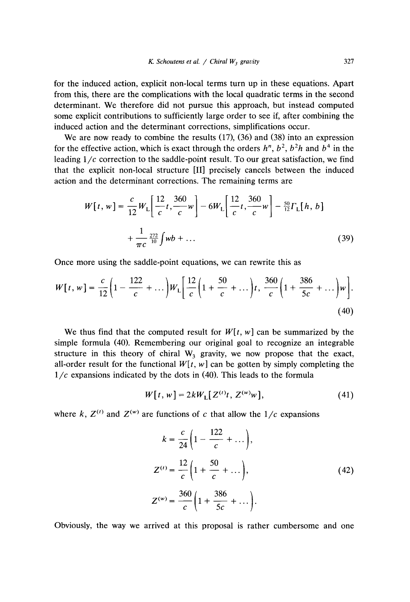for the induced action, explicit non-local terms turn up in these equations. Apart from this, there are the complications with the local quadratic terms in the second determinant. We therefore did not pursue this approach, but instead computed some explicit contributions to sufficiently large order to see if, after combining the induced action and the determinant corrections, simplifications occur.

We are now ready to combine the results (17), (36) and (38) into an expression for the effective action, which is exact through the orders *h'~,*b  $2-h^2h$  and  $h^4$  in the leading 1/c correction to the saddle-point result. To our great satisfaction, we find that the explicit non-local structure [II] precisely cancels between the induced action and the determinant corrections. The remaining terms are

$$
W[t, w] = \frac{c}{12} W_{L} \left[ \frac{12}{c} t, \frac{360}{c} w \right] - 6W_{L} \left[ \frac{12}{c} t, \frac{360}{c} w \right] - \frac{50}{12} \Gamma_{L} [h, b]
$$

$$
+ \frac{1}{\pi c} \frac{272}{10} \int w b + \dots
$$
(39)

Once more using the saddle-point equations, we can rewrite this as

$$
W[t, w] = \frac{c}{12} \left( 1 - \frac{122}{c} + \dots \right) W_{L} \left[ \frac{12}{c} \left( 1 + \frac{50}{c} + \dots \right) t, \frac{360}{c} \left( 1 + \frac{386}{5c} + \dots \right) w \right].
$$
\n(40)

We thus find that the computed result for  $W[t, w]$  can be summarized by the simple formula (40). Remembering our original goal to recognize an integrable simple formula (10). Kelliemooring c  $\frac{3}{3}$  gravity, we now propose that the exact, all-order result for the functional  $W[t, w]$  can be gotten by simply completing the  $1/c$  expansions indicated by the dots in (40). This leads to the formula

$$
W[t, w] = 2kW_{\text{L}}[Z^{(t)}t, Z^{(w)}w], \tag{41}
$$

where *k*,  $Z^{(t)}$  and  $Z^{(w)}$  are functions of *c* that allow the 1/c expansions

$$
k = \frac{c}{24} \left( 1 - \frac{122}{c} + \dots \right),
$$
  
\n
$$
Z^{(t)} = \frac{12}{c} \left( 1 + \frac{50}{c} + \dots \right),
$$
  
\n
$$
Z^{(w)} = \frac{360}{c} \left( 1 + \frac{386}{5c} + \dots \right).
$$
\n(42)

Obviously, the way we arrived at this proposal is rather cumbersome and one